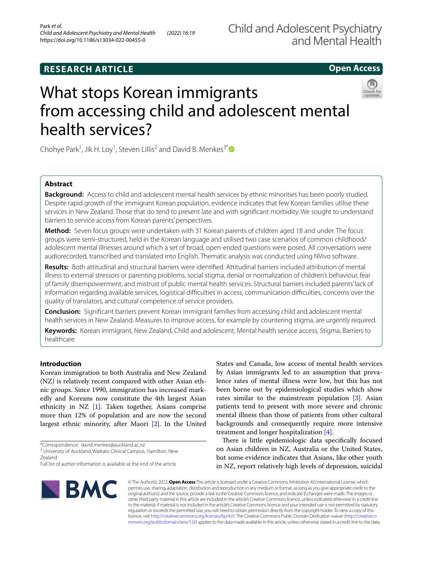## **RESEARCH ARTICLE**

## **Open Access**

# What stops Korean immigrants from accessing child and adolescent mental health services?

Chohye Park<sup>1</sup>, Jik H. Loy<sup>1</sup>, Steven Lillis<sup>2</sup> and David B. Menkes<sup>3[\\*](http://orcid.org/0000-0003-3760-7896)</sup>

## **Abstract**

**Background:** Access to child and adolescent mental health services by ethnic minorities has been poorly studied. Despite rapid growth of the immigrant Korean population, evidence indicates that few Korean families utilise these services in New Zealand. Those that do tend to present late and with signifcant morbidity. We sought to understand barriers to service access from Korean parents' perspectives.

**Method:** Seven focus groups were undertaken with 31 Korean parents of children aged 18 and under. The focus groups were semi-structured, held in the Korean language and utilised two case scenarios of common childhood/ adolescent mental illnesses around which a set of broad, open-ended questions were posed. All conversations were audiorecorded, transcribed and translated into English. Thematic analysis was conducted using NVivo software.

**Results:** Both attitudinal and structural barriers were identifed. Attitudinal barriers included attribution of mental illness to external stressors or parenting problems, social stigma, denial or normalization of children's behaviour, fear of family disempowerment, and mistrust of public mental health services. Structural barriers included parents' lack of information regarding available services, logistical difficulties in access, communication difficulties, concerns over the quality of translators, and cultural competence of service providers.

**Conclusion:** Signifcant barriers prevent Korean immigrant families from accessing child and adolescent mental health services in New Zealand. Measures to improve access, for example by countering stigma, are urgently required.

**Keywords:** Korean immigrant, New Zealand, Child and adolescent, Mental health service access, Stigma, Barriers to healthcare

## **Introduction**

Korean immigration to both Australia and New Zealand (NZ) is relatively recent compared with other Asian ethnic groups. Since 1990, immigration has increased markedly and Koreans now constitute the 4th largest Asian ethnicity in NZ [\[1](#page-6-0)]. Taken together, Asians comprise more than 12% of population and are now the second largest ethnic minority, after Maori [[2\]](#page-6-1). In the United

States and Canada, low access of mental health services by Asian immigrants led to an assumption that prevalence rates of mental illness were low, but this has not been borne out by epidemiological studies which show rates similar to the mainstream population  $[3]$  $[3]$ . Asian patients tend to present with more severe and chronic mental illness than those of patients from other cultural backgrounds and consequently require more intensive treatment and longer hospitalization [[4](#page-6-3)].

There is little epidemiologic data specifically focused on Asian children in NZ, Australia or the United States, but some evidence indicates that Asians, like other youth in NZ, report relatively high levels of depression, suicidal



© The Author(s) 2022. **Open Access** This article is licensed under a Creative Commons Attribution 4.0 International License, which permits use, sharing, adaptation, distribution and reproduction in any medium or format, as long as you give appropriate credit to the original author(s) and the source, provide a link to the Creative Commons licence, and indicate if changes were made. The images or other third party material in this article are included in the article's Creative Commons licence, unless indicated otherwise in a credit line to the material. If material is not included in the article's Creative Commons licence and your intended use is not permitted by statutory regulation or exceeds the permitted use, you will need to obtain permission directly from the copyright holder. To view a copy of this licence, visit [http://creativecommons.org/licenses/by/4.0/.](http://creativecommons.org/licenses/by/4.0/) The Creative Commons Public Domain Dedication waiver ([http://creativeco](http://creativecommons.org/publicdomain/zero/1.0/) [mmons.org/publicdomain/zero/1.0/](http://creativecommons.org/publicdomain/zero/1.0/)) applies to the data made available in this article, unless otherwise stated in a credit line to the data.

<sup>\*</sup>Correspondence: david.menkes@auckland.ac.nz

<sup>&</sup>lt;sup>3</sup> University of Auckland, Waikato Clinical Campus, Hamilton, New Zealand

Full list of author information is available at the end of the article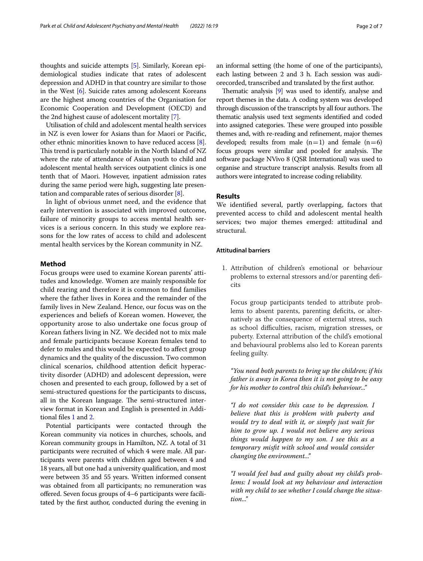thoughts and suicide attempts [[5](#page-6-4)]. Similarly, Korean epidemiological studies indicate that rates of adolescent depression and ADHD in that country are similar to those in the West  $[6]$  $[6]$ . Suicide rates among adolescent Koreans are the highest among countries of the Organisation for Economic Cooperation and Development (OECD) and the 2nd highest cause of adolescent mortality [\[7\]](#page-6-6).

Utilisation of child and adolescent mental health services in NZ is even lower for Asians than for Maori or Pacifc, other ethnic minorities known to have reduced access [\[8](#page-6-7)]. This trend is particularly notable in the North Island of NZ where the rate of attendance of Asian youth to child and adolescent mental health services outpatient clinics is one tenth that of Maori. However, inpatient admission rates during the same period were high, suggesting late presentation and comparable rates of serious disorder [\[8](#page-6-7)].

In light of obvious unmet need, and the evidence that early intervention is associated with improved outcome, failure of minority groups to access mental health services is a serious concern. In this study we explore reasons for the low rates of access to child and adolescent mental health services by the Korean community in NZ.

## **Method**

Focus groups were used to examine Korean parents' attitudes and knowledge. Women are mainly responsible for child rearing and therefore it is common to fnd families where the father lives in Korea and the remainder of the family lives in New Zealand. Hence, our focus was on the experiences and beliefs of Korean women. However, the opportunity arose to also undertake one focus group of Korean fathers living in NZ. We decided not to mix male and female participants because Korean females tend to defer to males and this would be expected to afect group dynamics and the quality of the discussion. Two common clinical scenarios, childhood attention deficit hyperactivity disorder (ADHD) and adolescent depression, were chosen and presented to each group, followed by a set of semi-structured questions for the participants to discuss, all in the Korean language. The semi-structured interview format in Korean and English is presented in Additional fles [1](#page-5-0) and [2.](#page-5-1)

Potential participants were contacted through the Korean community via notices in churches, schools, and Korean community groups in Hamilton, NZ. A total of 31 participants were recruited of which 4 were male. All participants were parents with children aged between 4 and 18 years, all but one had a university qualifcation, and most were between 35 and 55 years. Written informed consent was obtained from all participants; no remuneration was offered. Seven focus groups of 4–6 participants were facilitated by the frst author, conducted during the evening in an informal setting (the home of one of the participants), each lasting between 2 and 3 h. Each session was audiorecorded, transcribed and translated by the frst author.

Thematic analysis  $[9]$  was used to identify, analyse and report themes in the data. A coding system was developed through discussion of the transcripts by all four authors. The thematic analysis used text segments identifed and coded into assigned categories. These were grouped into possible themes and, with re-reading and refnement, major themes developed; results from male  $(n=1)$  and female  $(n=6)$ focus groups were similar and pooled for analysis. The software package NVivo 8 (QSR International) was used to organise and structure transcript analysis. Results from all authors were integrated to increase coding reliability.

## **Results**

We identifed several, partly overlapping, factors that prevented access to child and adolescent mental health services; two major themes emerged: attitudinal and structural.

## **Attitudinal barriers**

1. Attribution of children's emotional or behaviour problems to external stressors and/or parenting defcits

Focus group participants tended to attribute problems to absent parents, parenting deficits, or alternatively as the consequence of external stress, such as school difficulties, racism, migration stresses, or puberty. External attribution of the child's emotional and behavioural problems also led to Korean parents feeling guilty.

*"You need both parents to bring up the children; if his father is away in Korea then it is not going to be easy for his mother to control this child's behaviour..."*

*"I do not consider this case to be depression. I believe that this is problem with puberty and would try to deal with it, or simply just wait for him to grow up. I would not believe any serious things would happen to my son. I see this as a temporary misft with school and would consider changing the environment..."*

*"I would feel bad and guilty about my child's problems: I would look at my behaviour and interaction with my child to see whether I could change the situation..."*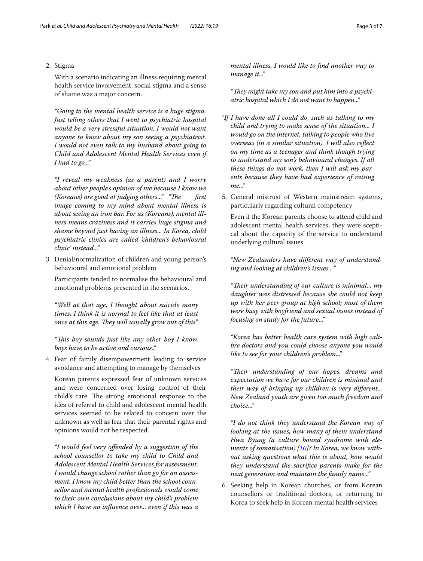## 2. Stigma

With a scenario indicating an illness requiring mental health service involvement, social stigma and a sense of shame was a major concern.

*"Going to the mental health service is a huge stigma. Just telling others that I went to psychiatric hospital would be a very stressful situation. I would not want anyone to know about my son seeing a psychiatrist. I would not even talk to my husband about going to Child and Adolescent Mental Health Services even if I had to go..."*

*"I reveal my weakness (as a parent) and I worry about other people's opinion of me because I know we (Koreans) are good at judging others..."* "The first *image coming to my mind about mental illness is about seeing an iron bar. For us (Koreans), mental illness means craziness and it carries huge stigma and shame beyond just having an illness... In Korea, child psychiatric clinics are called 'children's behavioural clinic' instead..."*

3. Denial/normalization of children and young person's behavioural and emotional problem

Participants tended to normalise the behavioural and emotional problems presented in the scenarios.

*"Well at that age, I thought about suicide many times, I think it is normal to feel like that at least once at this age. They will usually grow out of this"* 

*"Tis boy sounds just like any other boy I know, boys have to be active and curious.."*

4. Fear of family disempowerment leading to service avoidance and attempting to manage by themselves

Korean parents expressed fear of unknown services and were concerned over losing control of their child's care. The strong emotional response to the idea of referral to child and adolescent mental health services seemed to be related to concern over the unknown as well as fear that their parental rights and opinions would not be respected.

*"I would feel very ofended by a suggestion of the school counsellor to take my child to Child and Adolescent Mental Health Services for assessment. I would change school rather than go for an assessment. I know my child better than the school counsellor and mental health professionals would come to their own conclusions about my child's problem which I have no infuence over... even if this was a* 

*mental illness, I would like to fnd another way to manage it..."*

"They might take my son and put him into a psychi*atric hospital which I do not want to happen..."*

- *"If I have done all I could do, such as talking to my child and trying to make sense of the situation... I would go on the internet, talking to people who live overseas (in a similar situation). I will also refect on my time as a teenager and think though trying to understand my son's behavioural changes. If all these things do not work, then I will ask my parents because they have had experience of raising me..."*
- 5. General mistrust of Western mainstream systems, particularly regarding cultural competency

Even if the Korean parents choose to attend child and adolescent mental health services, they were sceptical about the capacity of the service to understand underlying cultural issues.

*"New Zealanders have diferent way of understanding and looking at children's issues..."*

*"Teir understanding of our culture is minimal.., my daughter was distressed because she could not keep up with her peer group at high school; most of them were busy with boyfriend and sexual issues instead of focusing on study for the future..."*

*"Korea has better health care system with high calibre doctors and you could choose anyone you would like to see for your children's problem..."*

*"Teir understanding of our hopes, dreams and expectation we have for our children is minimal and their way of bringing up children is very diferent... New Zealand youth are given too much freedom and choice..."*

*"I do not think they understand the Korean way of looking at the issues; how many of them understand Hwa Byung (a culture bound syndrome with elements of somatisation) [[10\]](#page-6-9)? In Korea, we know without asking questions what this is about, how would they understand the sacrifce parents make for the next generation and maintain the family name..."*

6. Seeking help in Korean churches, or from Korean counsellors or traditional doctors, or returning to Korea to seek help in Korean mental health services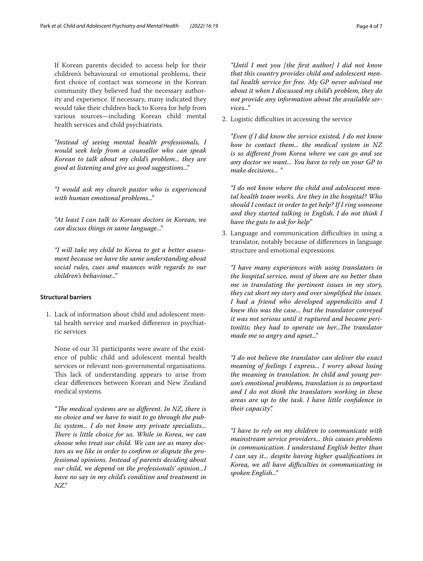If Korean parents decided to access help for their children's behavioural or emotional problems, their frst choice of contact was someone in the Korean community they believed had the necessary authority and experience. If necessary, many indicated they would take their children back to Korea for help from various sources—including Korean child mental health services and child psychiatrists.

*"Instead of seeing mental health professionals, I would seek help from a counsellor who can speak Korean to talk about my child's problem... they are good at listening and give us good suggestions..."*

*"I would ask my church pastor who is experienced with human emotional problems..."*

*"At least I can talk to Korean doctors in Korean, we can discuss things in same language..."*

*"I will take my child to Korea to get a better assessment because we have the same understanding about social rules, cues and nuances with regards to our children's behaviour..."*

## **Structural barriers**

1. Lack of information about child and adolescent mental health service and marked diference in psychiatric services

None of our 31 participants were aware of the existence of public child and adolescent mental health services or relevant non-governmental organisations. This lack of understanding appears to arise from clear diferences between Korean and New Zealand medical systems.

*"The medical systems are so different. In NZ, there is no choice and we have to wait to go through the public system... I do not know any private specialists... There is little choice for us. While in Korea, we can choose who treat our child. We can see as many doctors as we like in order to confrm or dispute the professional opinions. Instead of parents deciding about our child, we depend on the professionals' opinion...I have no say in my child's condition and treatment in NZ."*

*"Until I met you [the frst author] I did not know that this country provides child and adolescent mental health service for free. My GP never advised me about it when I discussed my child's problem, they do not provide any information about the available services..."*

2. Logistic difficulties in accessing the service

*"Even if I did know the service existed, I do not know how to contact them... the medical system in NZ is so diferent from Korea where we can go and see any doctor we want... You have to rely on your GP to make decisions... "*

*"I do not know where the child and adolescent mental health team works. Are they in the hospital? Who should I contact in order to get help? If I ring someone and they started talking in English, I do not think I have the guts to ask for help"*

3. Language and communication difficulties in using a translator, notably because of diferences in language structure and emotional expressions.

*"I have many experiences with using translators in the hospital service, most of them are no better than me in translating the pertinent issues in my story, they cut short my story and over simplifed the issues. I had a friend who developed appendicitis and I knew this was the case... but the translator conveyed it was not serious until it ruptured and became peritonitis; they had to operate on her...The translator made me so angry and upset..."*

*"I do not believe the translator can deliver the exact meaning of feelings I express... I worry about losing the meaning in translation. In child and young person's emotional problems, translation is so important and I do not think the translators working in these areas are up to the task. I have little confdence in their capacity".*

*"I have to rely on my children to communicate with mainstream service providers... this causes problems in communication. I understand English better than I can say it... despite having higher qualifcations in Korea, we all have difculties in communicating in spoken English..."*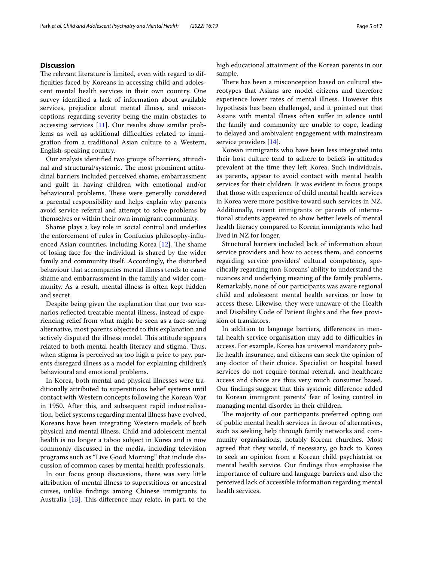## **Discussion**

The relevant literature is limited, even with regard to difficulties faced by Koreans in accessing child and adolescent mental health services in their own country. One survey identifed a lack of information about available services, prejudice about mental illness, and misconceptions regarding severity being the main obstacles to accessing services [[11](#page-6-10)]. Our results show similar problems as well as additional difficulties related to immigration from a traditional Asian culture to a Western, English-speaking country.

Our analysis identifed two groups of barriers, attitudinal and structural/systemic. The most prominent attitudinal barriers included perceived shame, embarrassment and guilt in having children with emotional and/or behavioural problems. These were generally considered a parental responsibility and helps explain why parents avoid service referral and attempt to solve problems by themselves or within their own immigrant community.

Shame plays a key role in social control and underlies the enforcement of rules in Confucius philosophy-infuenced Asian countries, including Korea  $[12]$ . The shame of losing face for the individual is shared by the wider family and community itself. Accordingly, the disturbed behaviour that accompanies mental illness tends to cause shame and embarrassment in the family and wider community. As a result, mental illness is often kept hidden and secret.

Despite being given the explanation that our two scenarios refected treatable mental illness, instead of experiencing relief from what might be seen as a face-saving alternative, most parents objected to this explanation and actively disputed the illness model. This attitude appears related to both mental health literacy and stigma. Thus, when stigma is perceived as too high a price to pay, parents disregard illness as a model for explaining children's behavioural and emotional problems.

In Korea, both mental and physical illnesses were traditionally attributed to superstitious belief systems until contact with Western concepts following the Korean War in 1950. After this, and subsequent rapid industrialisation, belief systems regarding mental illness have evolved. Koreans have been integrating Western models of both physical and mental illness. Child and adolescent mental health is no longer a taboo subject in Korea and is now commonly discussed in the media, including television programs such as "Live Good Morning" that include discussion of common cases by mental health professionals.

In our focus group discussions, there was very little attribution of mental illness to superstitious or ancestral curses, unlike fndings among Chinese immigrants to Australia  $[13]$  $[13]$ . This difference may relate, in part, to the high educational attainment of the Korean parents in our sample.

There has been a misconception based on cultural stereotypes that Asians are model citizens and therefore experience lower rates of mental illness. However this hypothesis has been challenged, and it pointed out that Asians with mental illness often sufer in silence until the family and community are unable to cope, leading to delayed and ambivalent engagement with mainstream service providers [[14\]](#page-6-13).

Korean immigrants who have been less integrated into their host culture tend to adhere to beliefs in attitudes prevalent at the time they left Korea. Such individuals, as parents, appear to avoid contact with mental health services for their children. It was evident in focus groups that those with experience of child mental health services in Korea were more positive toward such services in NZ. Additionally, recent immigrants or parents of international students appeared to show better levels of mental health literacy compared to Korean immigrants who had lived in NZ for longer.

Structural barriers included lack of information about service providers and how to access them, and concerns regarding service providers' cultural competency, specifcally regarding non-Koreans' ability to understand the nuances and underlying meaning of the family problems. Remarkably, none of our participants was aware regional child and adolescent mental health services or how to access these. Likewise, they were unaware of the Health and Disability Code of Patient Rights and the free provision of translators.

In addition to language barriers, diferences in mental health service organisation may add to difficulties in access. For example, Korea has universal mandatory public health insurance, and citizens can seek the opinion of any doctor of their choice. Specialist or hospital based services do not require formal referral, and healthcare access and choice are thus very much consumer based. Our fndings suggest that this systemic diference added to Korean immigrant parents' fear of losing control in managing mental disorder in their children.

The majority of our participants preferred opting out of public mental health services in favour of alternatives, such as seeking help through family networks and community organisations, notably Korean churches. Most agreed that they would, if necessary, go back to Korea to seek an opinion from a Korean child psychiatrist or mental health service. Our fndings thus emphasise the importance of culture and language barriers and also the perceived lack of accessible information regarding mental health services.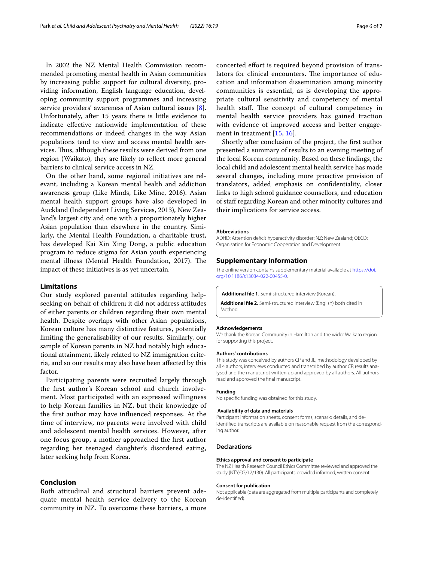In 2002 the NZ Mental Health Commission recommended promoting mental health in Asian communities by increasing public support for cultural diversity, providing information, English language education, developing community support programmes and increasing service providers' awareness of Asian cultural issues [\[8](#page-6-7)]. Unfortunately, after 15 years there is little evidence to indicate efective nationwide implementation of these recommendations or indeed changes in the way Asian populations tend to view and access mental health services. Thus, although these results were derived from one region (Waikato), they are likely to refect more general barriers to clinical service access in NZ.

On the other hand, some regional initiatives are relevant, including a Korean mental health and addiction awareness group (Like Minds, Like Mine, 2016). Asian mental health support groups have also developed in Auckland (Independent Living Services, 2013), New Zealand's largest city and one with a proportionately higher Asian population than elsewhere in the country. Similarly, the Mental Health Foundation, a charitable trust, has developed Kai Xin Xing Dong, a public education program to reduce stigma for Asian youth experiencing mental illness (Mental Health Foundation, 2017). The impact of these initiatives is as yet uncertain.

## **Limitations**

Our study explored parental attitudes regarding helpseeking on behalf of children; it did not address attitudes of either parents or children regarding their own mental health. Despite overlaps with other Asian populations, Korean culture has many distinctive features, potentially limiting the generalisability of our results. Similarly, our sample of Korean parents in NZ had notably high educational attainment, likely related to NZ immigration criteria, and so our results may also have been afected by this factor.

Participating parents were recruited largely through the frst author's Korean school and church involvement. Most participated with an expressed willingness to help Korean families in NZ, but their knowledge of the frst author may have infuenced responses. At the time of interview, no parents were involved with child and adolescent mental health services. However, after one focus group, a mother approached the frst author regarding her teenaged daughter's disordered eating, later seeking help from Korea.

### **Conclusion**

Both attitudinal and structural barriers prevent adequate mental health service delivery to the Korean community in NZ. To overcome these barriers, a more concerted efort is required beyond provision of translators for clinical encounters. The importance of education and information dissemination among minority communities is essential, as is developing the appropriate cultural sensitivity and competency of mental health staff. The concept of cultural competency in mental health service providers has gained traction with evidence of improved access and better engagement in treatment [\[15](#page-6-14), [16](#page-6-15)].

Shortly after conclusion of the project, the frst author presented a summary of results to an evening meeting of the local Korean community. Based on these fndings, the local child and adolescent mental health service has made several changes, including more proactive provision of translators, added emphasis on confdentiality, closer links to high school guidance counsellors, and education of staf regarding Korean and other minority cultures and their implications for service access.

#### **Abbreviations**

ADHD: Attention deficit hyperactivity disorder; NZ: New Zealand; OECD: Organisation for Economic Cooperation and Development.

#### **Supplementary Information**

The online version contains supplementary material available at [https://doi.](https://doi.org/10.1186/s13034-022-00455-0) [org/10.1186/s13034-022-00455-0](https://doi.org/10.1186/s13034-022-00455-0).

<span id="page-5-1"></span><span id="page-5-0"></span>**Additional fle 1.** Semi-structured interview (Korean).

**Additional fle 2.** Semi-structured interview (English) both cited in Method.

#### **Acknowledgements**

We thank the Korean Community in Hamilton and the wider Waikato region for supporting this project.

#### **Authors' contributions**

This study was conceived by authors CP and JL, methodology developed by all 4 authors, interviews conducted and transcribed by author CP, results analysed and the manuscript written up and approved by all authors. All authors read and approved the fnal manuscript.

#### **Funding**

No specifc funding was obtained for this study.

#### **Availability of data and materials**

Participant information sheets, consent forms, scenario details, and deidentifed transcripts are available on reasonable request from the corresponding author.

#### **Declarations**

#### **Ethics approval and consent to participate**

The NZ Health Research Council Ethics Committee reviewed and approved the study (NTY/07/12/130). All participants provided informed, written consent.

#### **Consent for publication**

Not applicable (data are aggregated from multiple participants and completely de-identifed).